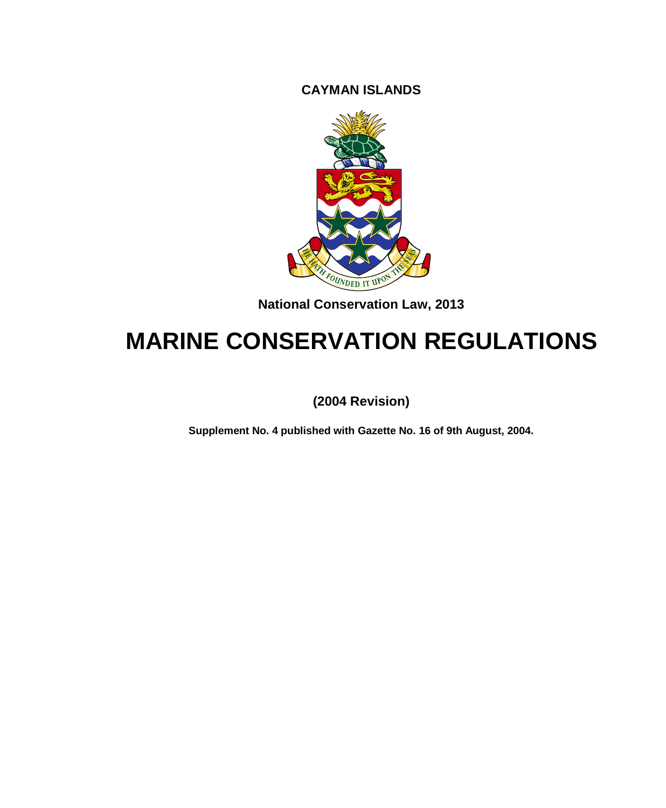**CAYMAN ISLANDS**



**National Conservation Law, 2013**

# **MARINE CONSERVATION REGULATIONS**

**(2004 Revision)**

**Supplement No. 4 published with Gazette No. 16 of 9th August, 2004.**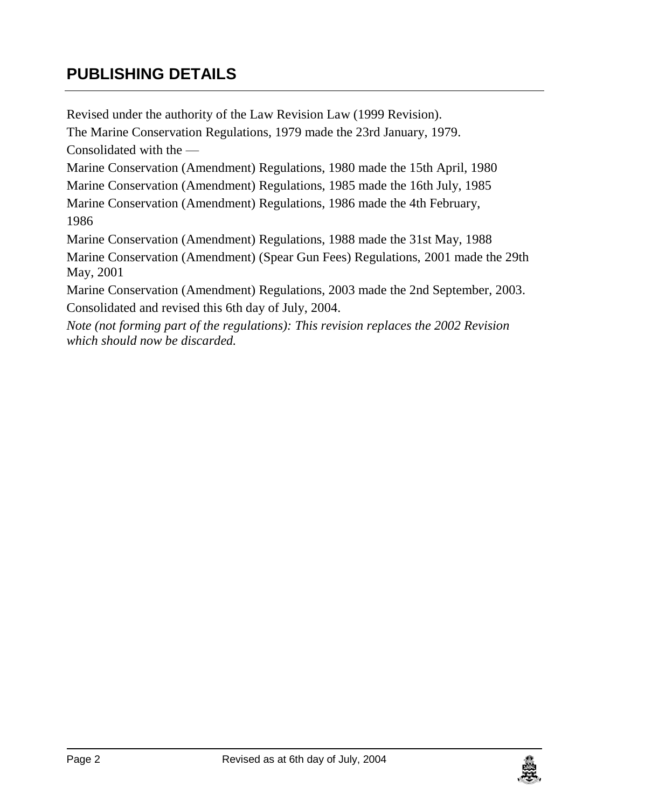# **PUBLISHING DETAILS**

Revised under the authority of the Law Revision Law (1999 Revision). The Marine Conservation Regulations, 1979 made the 23rd January, 1979. Consolidated with the — Marine Conservation (Amendment) Regulations, 1980 made the 15th April, 1980 Marine Conservation (Amendment) Regulations, 1985 made the 16th July, 1985 Marine Conservation (Amendment) Regulations, 1986 made the 4th February, 1986 Marine Conservation (Amendment) Regulations, 1988 made the 31st May, 1988 Marine Conservation (Amendment) (Spear Gun Fees) Regulations, 2001 made the 29th May, 2001 Marine Conservation (Amendment) Regulations, 2003 made the 2nd September, 2003. Consolidated and revised this 6th day of July, 2004. *Note (not forming part of the regulations): This revision replaces the 2002 Revision which should now be discarded.*

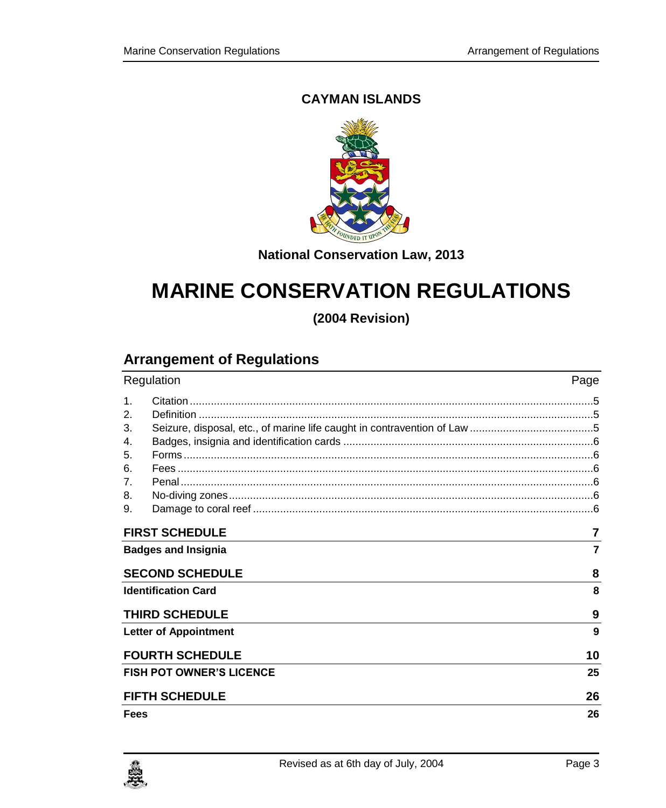### **CAYMAN ISLANDS**



**National Conservation Law, 2013**

# **MARINE CONSERVATION REGULATIONS**

**(2004 Revision)**

# **Arrangement of Regulations**

| Regulation                      | Page |
|---------------------------------|------|
| 1 <sub>1</sub>                  |      |
| 2.                              |      |
| 3.                              |      |
| 4.                              |      |
| 5.                              |      |
| 6.                              |      |
| 7 <sub>1</sub>                  |      |
| 8.                              |      |
| 9.                              |      |
| <b>FIRST SCHEDULE</b>           | 7    |
| <b>Badges and Insignia</b>      | 7    |
| <b>SECOND SCHEDULE</b>          | 8    |
| <b>Identification Card</b>      | 8    |
| <b>THIRD SCHEDULE</b>           | 9    |
| <b>Letter of Appointment</b>    | 9    |
| <b>FOURTH SCHEDULE</b>          | 10   |
| <b>FISH POT OWNER'S LICENCE</b> | 25   |
| <b>FIFTH SCHEDULE</b>           | 26   |
| Fees                            | 26   |

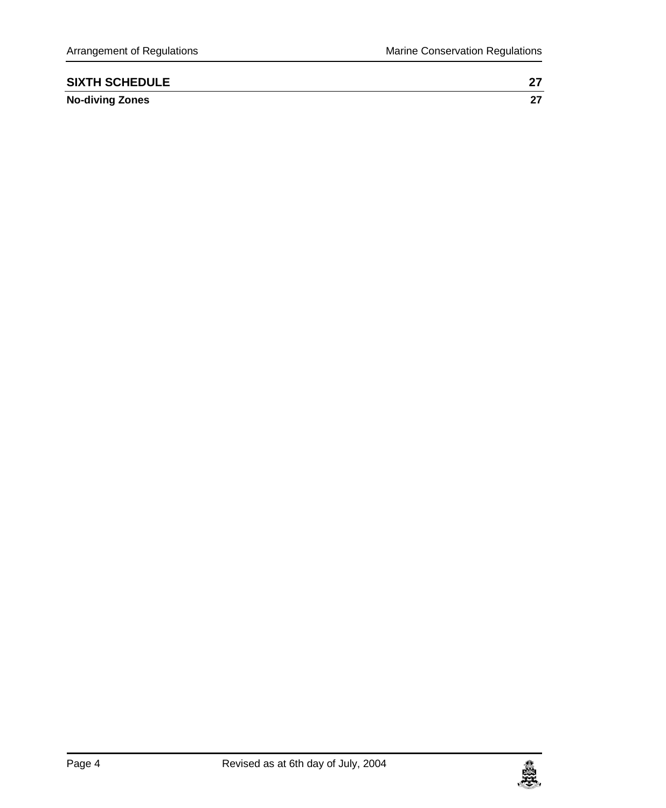| <b>SIXTH SCHEDULE</b>  |  |
|------------------------|--|
| <b>No-diving Zones</b> |  |

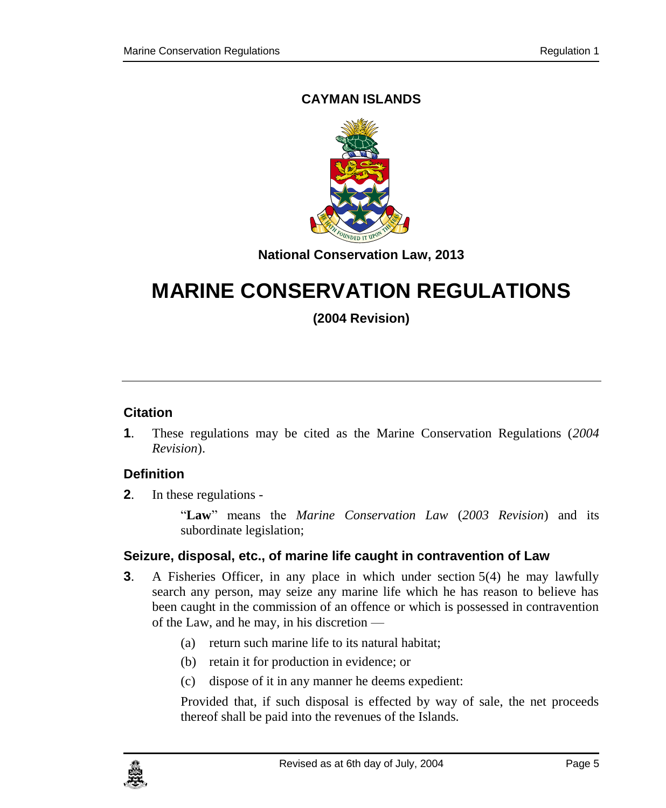### **CAYMAN ISLANDS**



**National Conservation Law, 2013**

# **MARINE CONSERVATION REGULATIONS**

**(2004 Revision)**

#### <span id="page-4-0"></span>**1. Citation**

**1**. These regulations may be cited as the Marine Conservation Regulations (*2004 Revision*).

### <span id="page-4-1"></span>**2. Definition**

**2**. In these regulations -

"**Law**" means the *Marine Conservation Law* (*2003 Revision*) and its subordinate legislation;

#### <span id="page-4-2"></span>**3. Seizure, disposal, etc., of marine life caught in contravention of Law**

- **3**. A Fisheries Officer, in any place in which under section 5(4) he may lawfully search any person, may seize any marine life which he has reason to believe has been caught in the commission of an offence or which is possessed in contravention of the Law, and he may, in his discretion —
	- (a) return such marine life to its natural habitat;
	- (b) retain it for production in evidence; or
	- (c) dispose of it in any manner he deems expedient:

Provided that, if such disposal is effected by way of sale, the net proceeds thereof shall be paid into the revenues of the Islands.

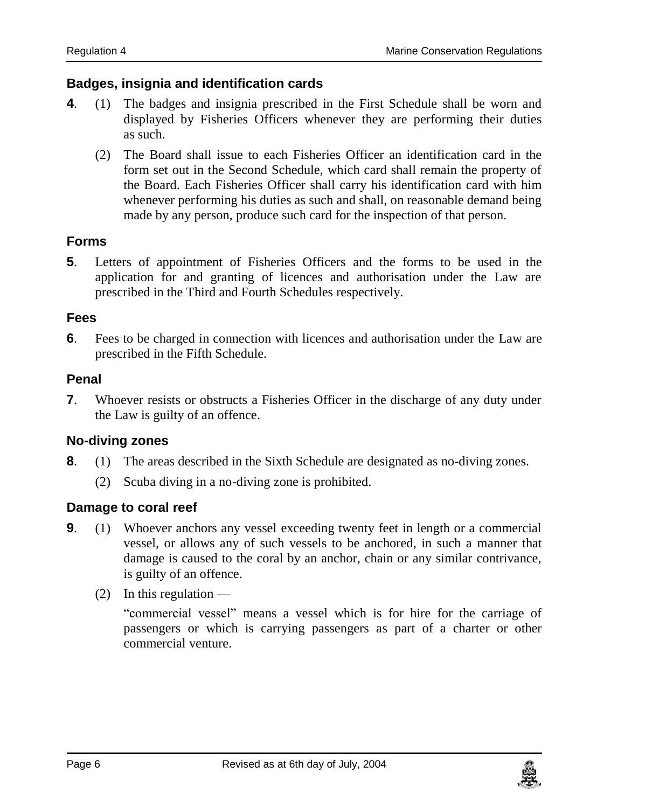#### <span id="page-5-0"></span>**4. Badges, insignia and identification cards**

- **4**. (1) The badges and insignia prescribed in the First Schedule shall be worn and displayed by Fisheries Officers whenever they are performing their duties as such.
	- (2) The Board shall issue to each Fisheries Officer an identification card in the form set out in the Second Schedule, which card shall remain the property of the Board. Each Fisheries Officer shall carry his identification card with him whenever performing his duties as such and shall, on reasonable demand being made by any person, produce such card for the inspection of that person.

#### <span id="page-5-1"></span>**5. Forms**

**5**. Letters of appointment of Fisheries Officers and the forms to be used in the application for and granting of licences and authorisation under the Law are prescribed in the Third and Fourth Schedules respectively.

#### <span id="page-5-2"></span>**6. Fees**

**6**. Fees to be charged in connection with licences and authorisation under the Law are prescribed in the Fifth Schedule.

#### <span id="page-5-3"></span>**7. Penal**

**7**. Whoever resists or obstructs a Fisheries Officer in the discharge of any duty under the Law is guilty of an offence.

### <span id="page-5-4"></span>**8. No-diving zones**

- **8**. (1) The areas described in the Sixth Schedule are designated as no-diving zones.
	- (2) Scuba diving in a no-diving zone is prohibited.

#### <span id="page-5-5"></span>**9. Damage to coral reef**

- **9**. (1) Whoever anchors any vessel exceeding twenty feet in length or a commercial vessel, or allows any of such vessels to be anchored, in such a manner that damage is caused to the coral by an anchor, chain or any similar contrivance, is guilty of an offence.
	- $(2)$  In this regulation —

"commercial vessel" means a vessel which is for hire for the carriage of passengers or which is carrying passengers as part of a charter or other commercial venture.

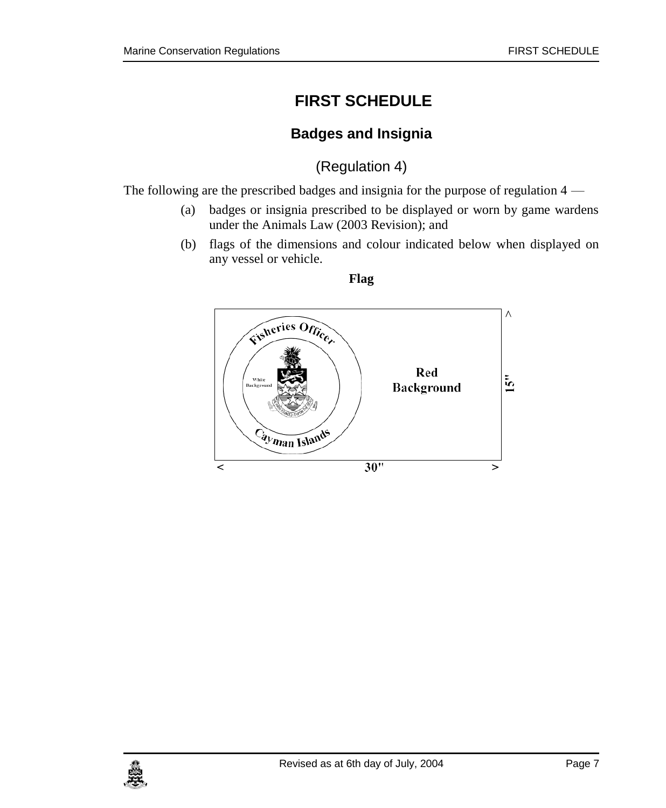# <span id="page-6-0"></span>**FIRST SCHEDULE**

# **Badges and Insignia**

(Regulation 4)

<span id="page-6-1"></span>The following are the prescribed badges and insignia for the purpose of regulation 4 —

- (a) badges or insignia prescribed to be displayed or worn by game wardens under the Animals Law (2003 Revision); and
- (b) flags of the dimensions and colour indicated below when displayed on any vessel or vehicle.



**Flag**

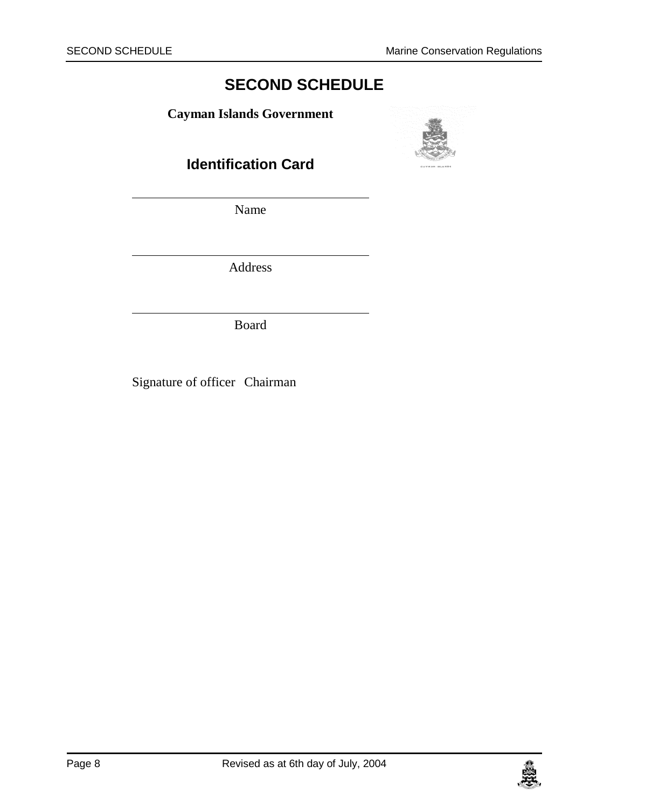# **SECOND SCHEDULE**

<span id="page-7-1"></span><span id="page-7-0"></span>**Cayman Islands Government**



**Identification Card**

Name

Address

Board

Signature of officer Chairman

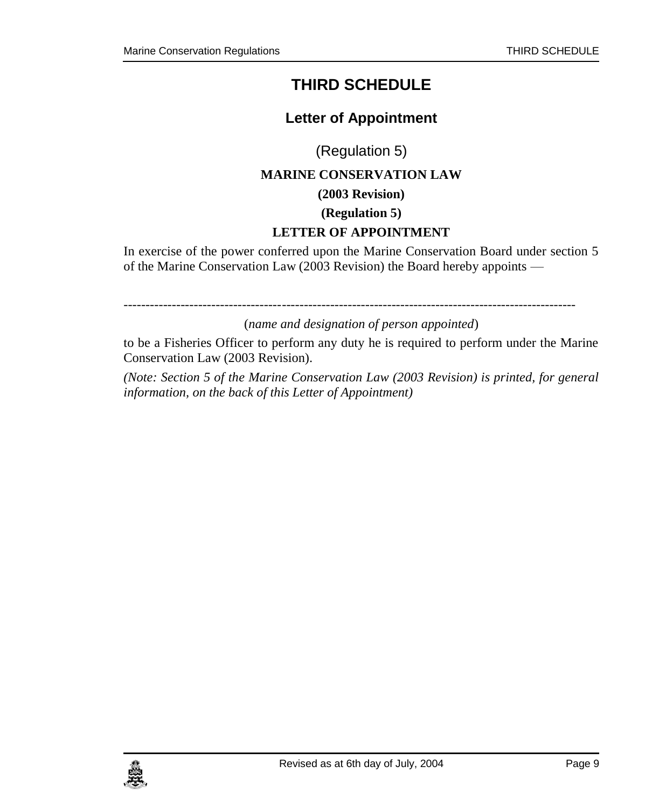# **THIRD SCHEDULE**

# **Letter of Appointment**

(Regulation 5)

# <span id="page-8-0"></span>**MARINE CONSERVATION LAW**

**(2003 Revision)**

**(Regulation 5)**

#### **LETTER OF APPOINTMENT**

<span id="page-8-1"></span>In exercise of the power conferred upon the Marine Conservation Board under section 5 of the Marine Conservation Law (2003 Revision) the Board hereby appoints —

-------------------------------------------------------------------------------------------------------

(*name and designation of person appointed*)

to be a Fisheries Officer to perform any duty he is required to perform under the Marine Conservation Law (2003 Revision).

*(Note: Section 5 of the Marine Conservation Law (2003 Revision) is printed, for general information, on the back of this Letter of Appointment)*

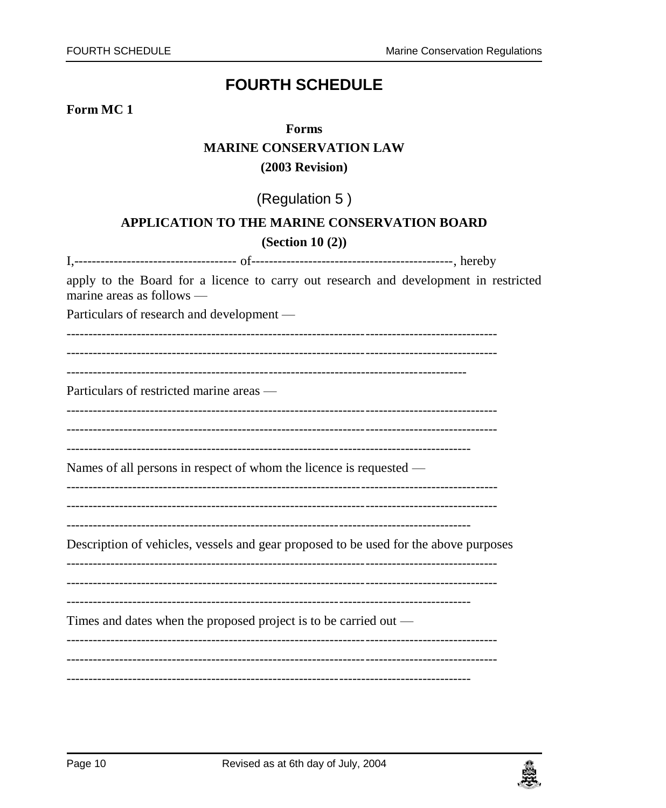# **FOURTH SCHEDULE**

#### <span id="page-9-0"></span>Form MC<sub>1</sub>

# Forms **MARINE CONSERVATION LAW**  $(2003$  Revision)

# (Regulation 5)

#### APPLICATION TO THE MARINE CONSERVATION BOARD

#### $(Section 10(2))$

| apply to the Board for a licence to carry out research and development in restricted<br>marine areas as follows $-$ |  |  |  |
|---------------------------------------------------------------------------------------------------------------------|--|--|--|
| Particulars of research and development -                                                                           |  |  |  |
|                                                                                                                     |  |  |  |
|                                                                                                                     |  |  |  |
| Particulars of restricted marine areas —                                                                            |  |  |  |
|                                                                                                                     |  |  |  |
|                                                                                                                     |  |  |  |
| Names of all persons in respect of whom the licence is requested —                                                  |  |  |  |
|                                                                                                                     |  |  |  |
|                                                                                                                     |  |  |  |
| Description of vehicles, vessels and gear proposed to be used for the above purposes                                |  |  |  |
|                                                                                                                     |  |  |  |
|                                                                                                                     |  |  |  |
| Times and dates when the proposed project is to be carried out $-$                                                  |  |  |  |
|                                                                                                                     |  |  |  |
|                                                                                                                     |  |  |  |

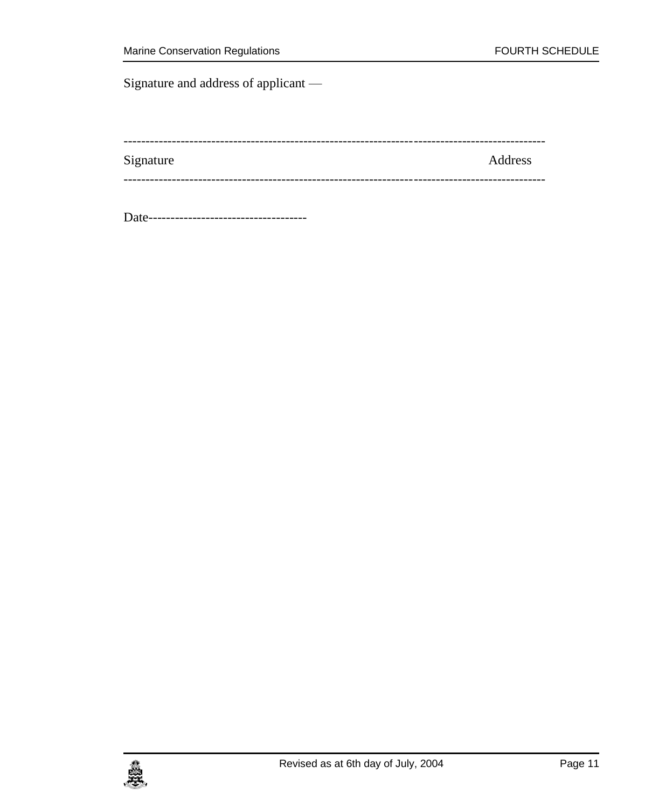Signature and address of applicant —

| Signature | Address |
|-----------|---------|
|           |         |

Date------------------------------------

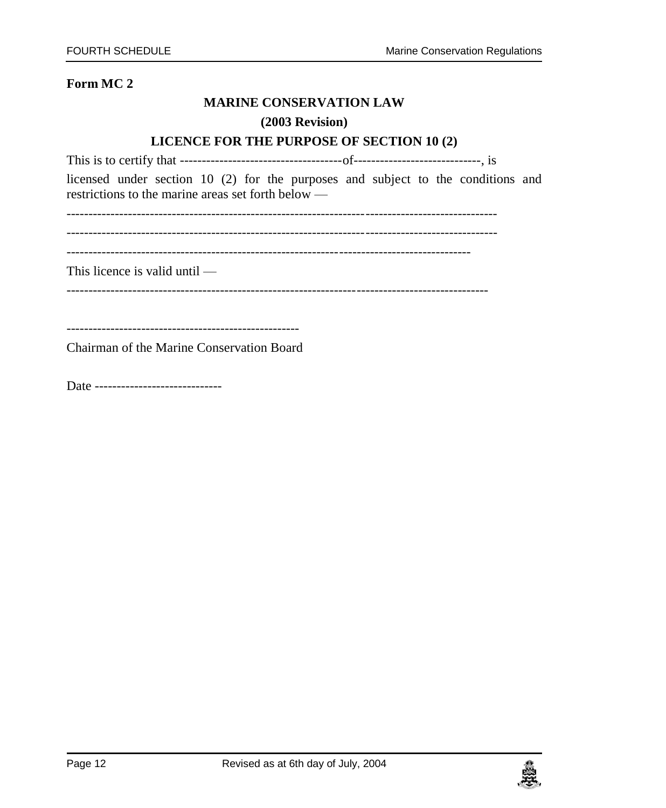#### **MARINE CONSERVATION LAW**

#### **(2003 Revision)**

#### **LICENCE FOR THE PURPOSE OF SECTION 10 (2)**

This is to certify that -------------------------------------of-----------------------------, is licensed under section 10 (2) for the purposes and subject to the conditions and restrictions to the marine areas set forth below —

--------------------------------------------------------------------------------------------------

--------------------------------------------------------------------------------------------------

--------------------------------------------------------------------------------------------

This licence is valid until —

------------------------------------------------------------------------------------------------

-----------------------------------------------------

Chairman of the Marine Conservation Board

Date --------------------------------

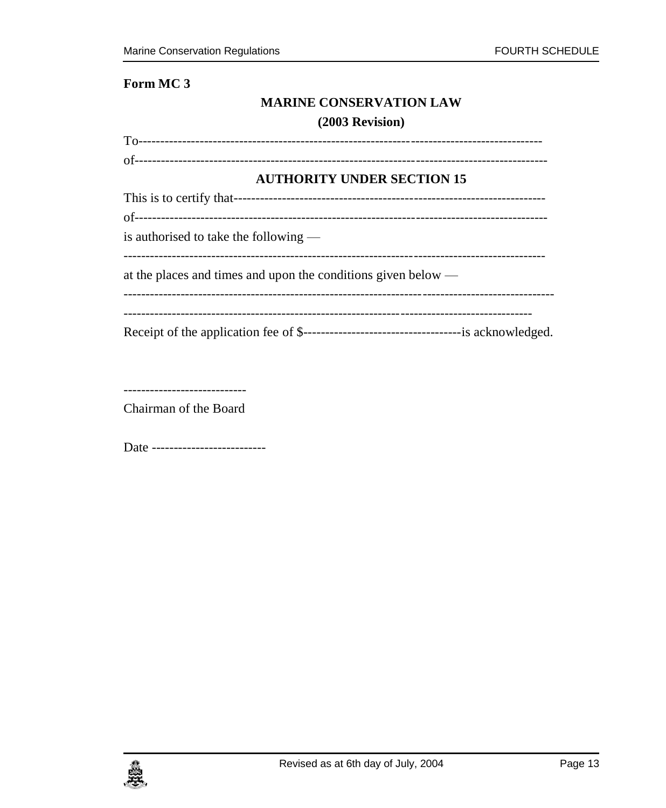### Form MC<sub>3</sub>

#### **MARINE CONSERVATION LAW**

#### (2003 Revision)

| <b>AUTHORITY UNDER SECTION 15</b>                                         |
|---------------------------------------------------------------------------|
|                                                                           |
|                                                                           |
| is authorised to take the following —                                     |
| at the places and times and upon the conditions given below $\frac{ }{ }$ |
|                                                                           |
|                                                                           |

----------------------------

Chairman of the Board

Date --------------------------

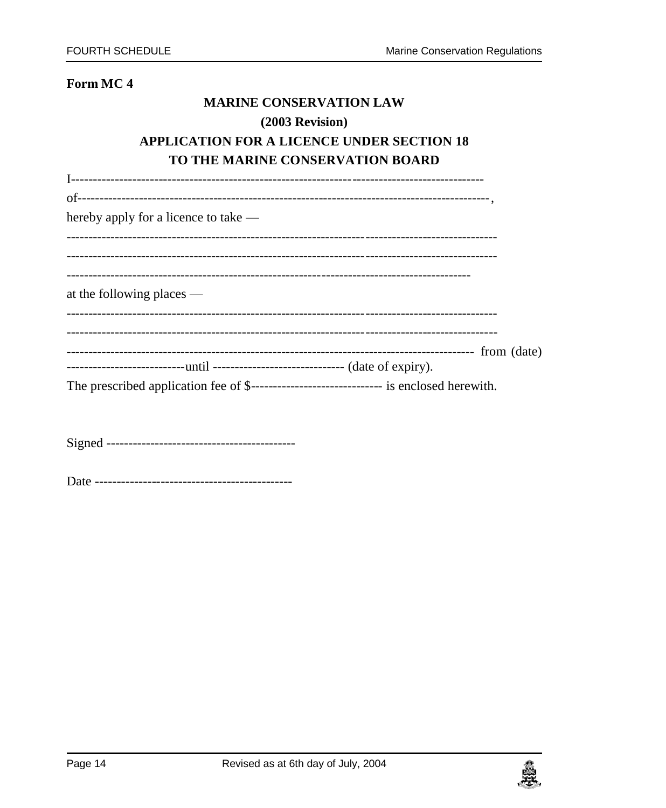#### Form MC<sub>4</sub>

### **MARINE CONSERVATION LAW**

### (2003 Revision)

## **APPLICATION FOR A LICENCE UNDER SECTION 18** TO THE MARINE CONSERVATION BOARD

| hereby apply for a licence to take $-$                                                     |  |
|--------------------------------------------------------------------------------------------|--|
|                                                                                            |  |
|                                                                                            |  |
|                                                                                            |  |
| at the following places $-$                                                                |  |
|                                                                                            |  |
|                                                                                            |  |
| ----------------------------until --------------------------------- (date of expiry).      |  |
| The prescribed application fee of \$-------------------------------- is enclosed herewith. |  |
|                                                                                            |  |

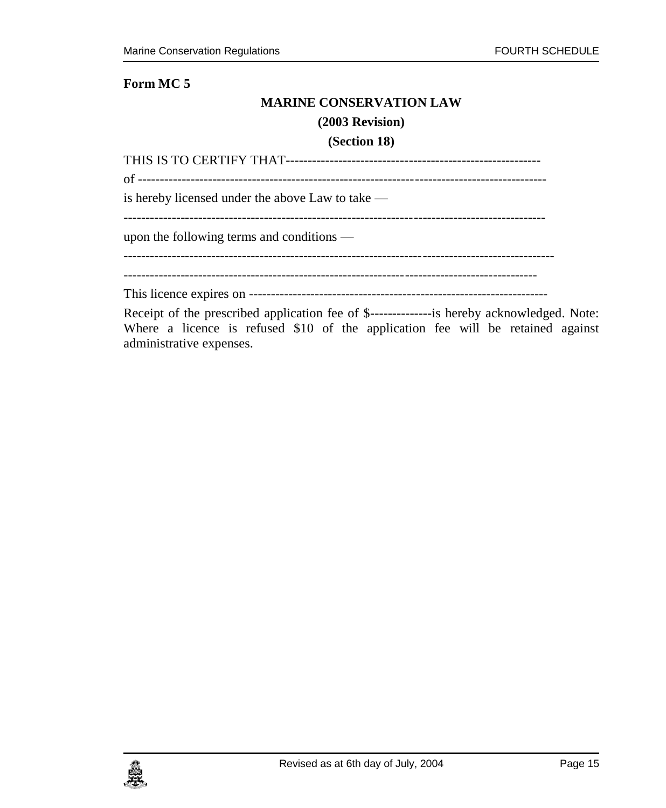#### **MARINE CONSERVATION LAW**

#### **(2003 Revision)**

#### **(Section 18)**

| is hereby licensed under the above Law to take — |
|--------------------------------------------------|
|                                                  |
| upon the following terms and conditions $-$      |
|                                                  |
|                                                  |
|                                                  |
|                                                  |

Receipt of the prescribed application fee of \$--------------is hereby acknowledged. Note: Where a licence is refused \$10 of the application fee will be retained against administrative expenses.

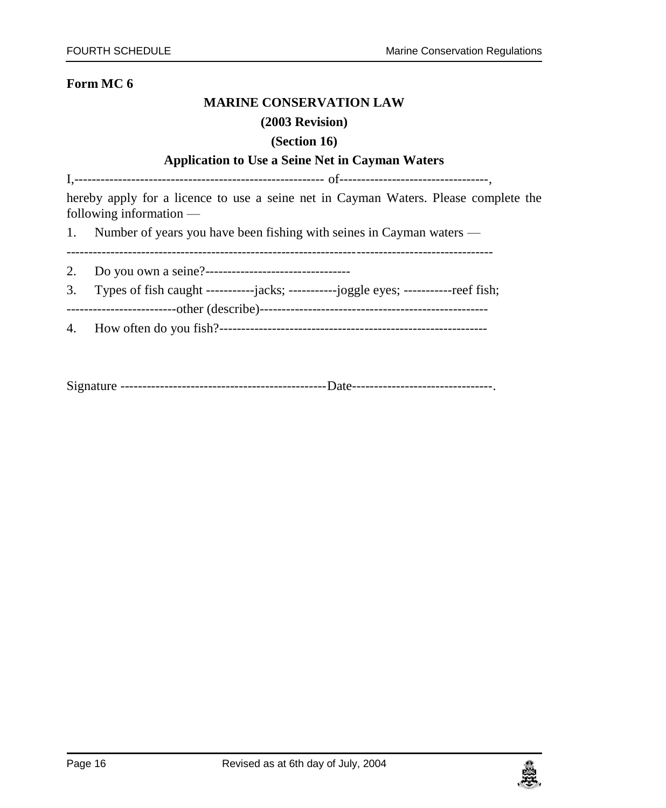#### **MARINE CONSERVATION LAW**

#### **(2003 Revision)**

#### **(Section 16)**

#### **Application to Use a Seine Net in Cayman Waters**

I,--------------------------------------------------------- of----------------------------------,

hereby apply for a licence to use a seine net in Cayman Waters. Please complete the following information —

1. Number of years you have been fishing with seines in Cayman waters —

-------------------------------------------------------------------------------------------------

- 2. Do you own a seine?---------------------------------
- 3. Types of fish caught -----------jacks; -----------joggle eyes; -----------reef fish;

-------------------------other (describe)----------------------------------------------------

4. How often do you fish?-------------------------------------------------------------

Signature -----------------------------------------------Date--------------------------------.

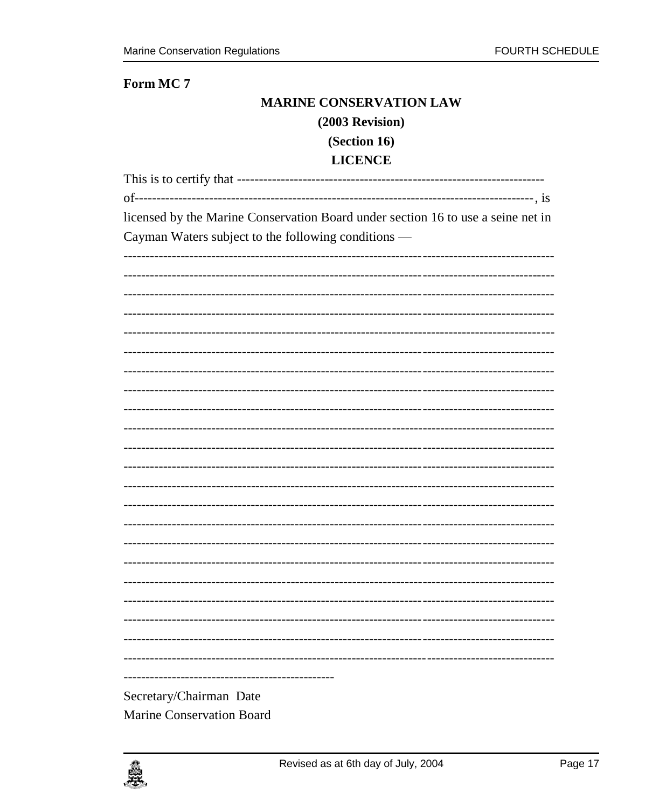#### Form MC<sub>7</sub>

# **MARINE CONSERVATION LAW**

#### (2003 Revision)

# (Section 16)

### **LICENCE**

| licensed by the Marine Conservation Board under section 16 to use a seine net in |
|----------------------------------------------------------------------------------|
| Cayman Waters subject to the following conditions —                              |
|                                                                                  |
|                                                                                  |
|                                                                                  |
|                                                                                  |
|                                                                                  |
|                                                                                  |
|                                                                                  |
|                                                                                  |
|                                                                                  |
|                                                                                  |
|                                                                                  |
|                                                                                  |
|                                                                                  |
|                                                                                  |
|                                                                                  |
|                                                                                  |
|                                                                                  |
|                                                                                  |
|                                                                                  |
|                                                                                  |
|                                                                                  |
|                                                                                  |
|                                                                                  |
| Secretary/Chairman Date                                                          |
| Marine Conservation Board                                                        |

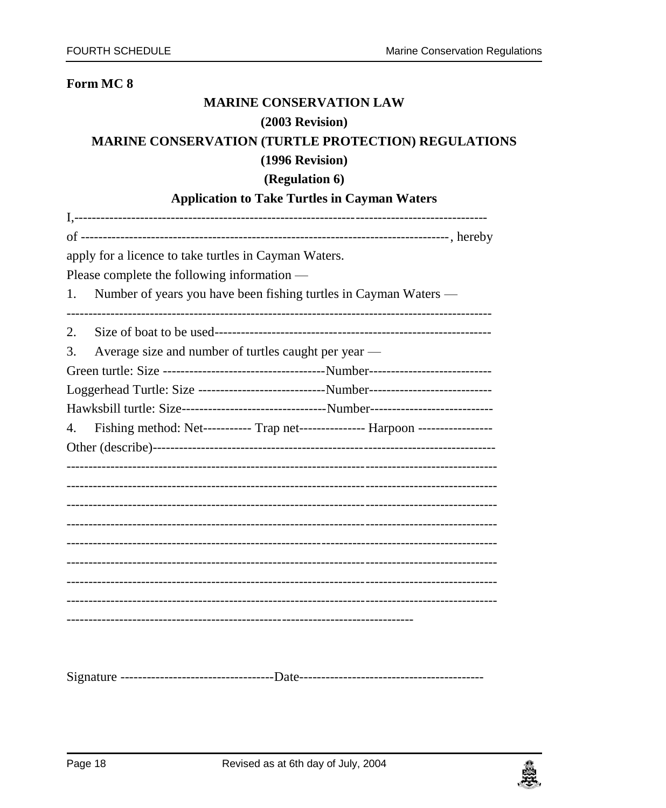#### Form MC<sub>8</sub>

#### **MARINE CONSERVATION LAW**

#### $(2003$  Revision)

#### MARINE CONSERVATION (TURTLE PROTECTION) REGULATIONS

#### (1996 Revision)

#### (Regulation 6)

### **Application to Take Turtles in Cayman Waters**

| apply for a licence to take turtles in Cayman Waters.                                        |  |
|----------------------------------------------------------------------------------------------|--|
| Please complete the following information —                                                  |  |
| Number of years you have been fishing turtles in Cayman Waters —<br>1.                       |  |
|                                                                                              |  |
| 2.                                                                                           |  |
| Average size and number of turtles caught per year —<br>3.                                   |  |
|                                                                                              |  |
| Loggerhead Turtle: Size -----------------------------Number---------------------------       |  |
| Hawksbill turtle: Size----------------------------------Number------------------------------ |  |
| Fishing method: Net----------- Trap net--------------- Harpoon -----------------<br>4.       |  |
|                                                                                              |  |
|                                                                                              |  |
|                                                                                              |  |
|                                                                                              |  |
|                                                                                              |  |
|                                                                                              |  |
|                                                                                              |  |
|                                                                                              |  |
|                                                                                              |  |
|                                                                                              |  |
|                                                                                              |  |
|                                                                                              |  |

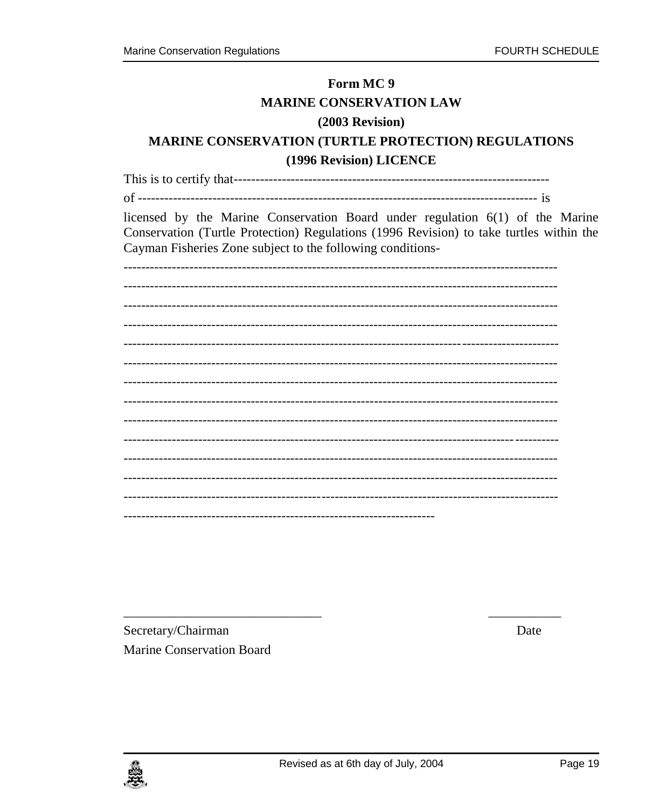# Form MC<sub>9</sub> **MARINE CONSERVATION LAW**  $(2003$  Revision) **MARINE CONSERVATION (TURTLE PROTECTION) REGULATIONS** (1996 Revision) LICENCE licensed by the Marine Conservation Board under regulation 6(1) of the Marine Conservation (Turtle Protection) Regulations (1996 Revision) to take turtles within the Cayman Fisheries Zone subject to the following conditions-

Secretary/Chairman Marine Conservation Board Date

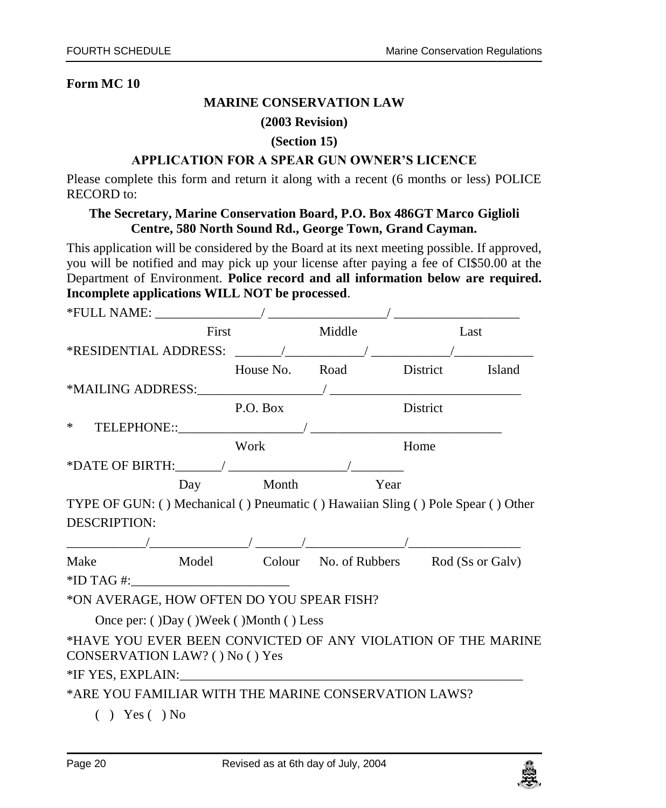#### **MARINE CONSERVATION LAW**

#### **(2003 Revision)**

#### **(Section 15)**

#### **APPLICATION FOR A SPEAR GUN OWNER'S LICENCE**

Please complete this form and return it along with a recent (6 months or less) POLICE RECORD to:

#### **The Secretary, Marine Conservation Board, P.O. Box 486GT Marco Giglioli Centre, 580 North Sound Rd., George Town, Grand Cayman.**

This application will be considered by the Board at its next meeting possible. If approved, you will be notified and may pick up your license after paying a fee of CI\$50.00 at the Department of Environment. **Police record and all information below are required. Incomplete applications WILL NOT be processed**.

| First                                                |                                                                                                                                                                                                                                                                                                                                           |                                                                                                                              | Last                                                                                                                                                                                                                                                                                                                                                                                                                                                                                                                                                                          |
|------------------------------------------------------|-------------------------------------------------------------------------------------------------------------------------------------------------------------------------------------------------------------------------------------------------------------------------------------------------------------------------------------------|------------------------------------------------------------------------------------------------------------------------------|-------------------------------------------------------------------------------------------------------------------------------------------------------------------------------------------------------------------------------------------------------------------------------------------------------------------------------------------------------------------------------------------------------------------------------------------------------------------------------------------------------------------------------------------------------------------------------|
|                                                      |                                                                                                                                                                                                                                                                                                                                           |                                                                                                                              |                                                                                                                                                                                                                                                                                                                                                                                                                                                                                                                                                                               |
|                                                      |                                                                                                                                                                                                                                                                                                                                           |                                                                                                                              |                                                                                                                                                                                                                                                                                                                                                                                                                                                                                                                                                                               |
|                                                      |                                                                                                                                                                                                                                                                                                                                           |                                                                                                                              |                                                                                                                                                                                                                                                                                                                                                                                                                                                                                                                                                                               |
|                                                      |                                                                                                                                                                                                                                                                                                                                           | <b>District</b>                                                                                                              |                                                                                                                                                                                                                                                                                                                                                                                                                                                                                                                                                                               |
|                                                      |                                                                                                                                                                                                                                                                                                                                           |                                                                                                                              |                                                                                                                                                                                                                                                                                                                                                                                                                                                                                                                                                                               |
| Work                                                 |                                                                                                                                                                                                                                                                                                                                           |                                                                                                                              |                                                                                                                                                                                                                                                                                                                                                                                                                                                                                                                                                                               |
|                                                      |                                                                                                                                                                                                                                                                                                                                           |                                                                                                                              |                                                                                                                                                                                                                                                                                                                                                                                                                                                                                                                                                                               |
|                                                      |                                                                                                                                                                                                                                                                                                                                           |                                                                                                                              |                                                                                                                                                                                                                                                                                                                                                                                                                                                                                                                                                                               |
|                                                      |                                                                                                                                                                                                                                                                                                                                           |                                                                                                                              |                                                                                                                                                                                                                                                                                                                                                                                                                                                                                                                                                                               |
|                                                      |                                                                                                                                                                                                                                                                                                                                           |                                                                                                                              |                                                                                                                                                                                                                                                                                                                                                                                                                                                                                                                                                                               |
|                                                      |                                                                                                                                                                                                                                                                                                                                           |                                                                                                                              |                                                                                                                                                                                                                                                                                                                                                                                                                                                                                                                                                                               |
|                                                      |                                                                                                                                                                                                                                                                                                                                           |                                                                                                                              |                                                                                                                                                                                                                                                                                                                                                                                                                                                                                                                                                                               |
|                                                      |                                                                                                                                                                                                                                                                                                                                           |                                                                                                                              |                                                                                                                                                                                                                                                                                                                                                                                                                                                                                                                                                                               |
|                                                      |                                                                                                                                                                                                                                                                                                                                           |                                                                                                                              |                                                                                                                                                                                                                                                                                                                                                                                                                                                                                                                                                                               |
|                                                      |                                                                                                                                                                                                                                                                                                                                           |                                                                                                                              |                                                                                                                                                                                                                                                                                                                                                                                                                                                                                                                                                                               |
|                                                      |                                                                                                                                                                                                                                                                                                                                           |                                                                                                                              |                                                                                                                                                                                                                                                                                                                                                                                                                                                                                                                                                                               |
|                                                      |                                                                                                                                                                                                                                                                                                                                           |                                                                                                                              |                                                                                                                                                                                                                                                                                                                                                                                                                                                                                                                                                                               |
|                                                      |                                                                                                                                                                                                                                                                                                                                           |                                                                                                                              |                                                                                                                                                                                                                                                                                                                                                                                                                                                                                                                                                                               |
| *ARE YOU FAMILIAR WITH THE MARINE CONSERVATION LAWS? |                                                                                                                                                                                                                                                                                                                                           |                                                                                                                              |                                                                                                                                                                                                                                                                                                                                                                                                                                                                                                                                                                               |
|                                                      | *ID TAG #: $\frac{1}{2}$ = $\frac{1}{2}$ = $\frac{1}{2}$ = $\frac{1}{2}$ = $\frac{1}{2}$ = $\frac{1}{2}$ = $\frac{1}{2}$ = $\frac{1}{2}$ = $\frac{1}{2}$ = $\frac{1}{2}$ = $\frac{1}{2}$ = $\frac{1}{2}$ = $\frac{1}{2}$ = $\frac{1}{2}$ = $\frac{1}{2}$ = $\frac{1}{2}$ = $\frac{1}{2}$ = $\frac{1}{2$<br>CONSERVATION LAW? () No () Yes | $*$ FULL NAME: $\qquad \qquad$<br><b>Example 1</b> Middle<br>P.O. Box<br>Day Month<br>Once per: ()Day ()Week ()Month () Less | *RESIDENTIAL ADDRESS: $\frac{1}{2}$<br>House No. Road District Island<br>Home<br>Year<br>TYPE OF GUN: () Mechanical () Pneumatic () Hawaiian Sling () Pole Spear () Other<br>Make Model Colour No. of Rubbers Rod (Ss or Galv)<br>*ON AVERAGE, HOW OFTEN DO YOU SPEAR FISH?<br>*HAVE YOU EVER BEEN CONVICTED OF ANY VIOLATION OF THE MARINE<br>*IF YES, EXPLAIN: Web The Management of the Second Contract of the Second Contract of the Second Contract of the Second Contract of the Second Contract of the Second Contract of the Second Contract of the Second Contract o |

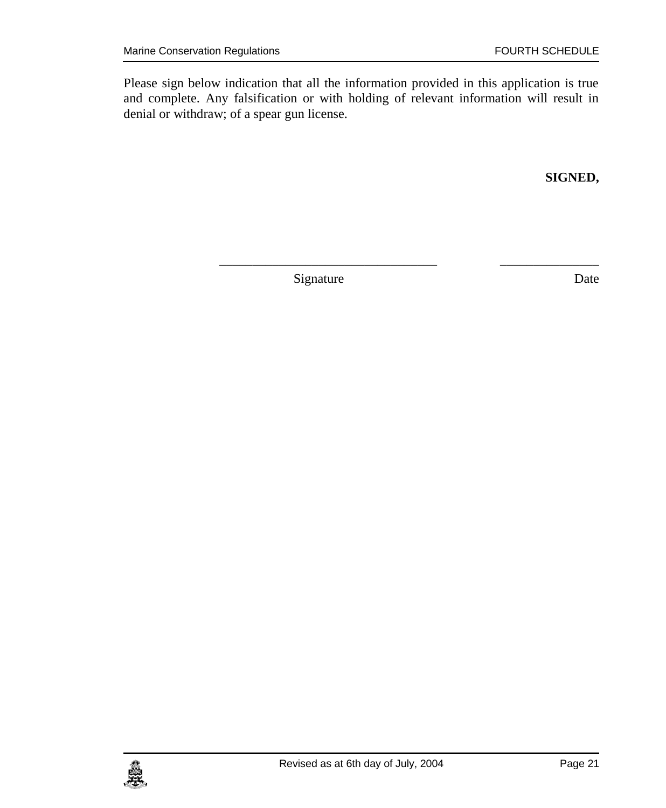Please sign below indication that all the information provided in this application is true and complete. Any falsification or with holding of relevant information will result in denial or withdraw; of a spear gun license.

\_\_\_\_\_\_\_\_\_\_\_\_\_\_\_\_\_\_\_\_\_\_\_\_\_\_\_\_\_\_\_\_\_ \_\_\_\_\_\_\_\_\_\_\_\_\_\_\_

**SIGNED,**

Signature Date

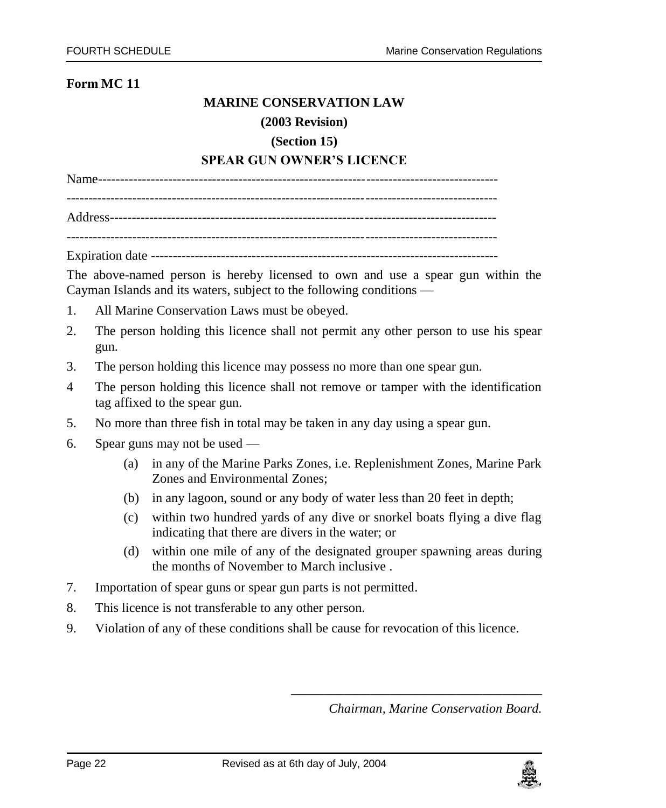#### **MARINE CONSERVATION LAW**

#### **(2003 Revision)**

#### **(Section 15)**

#### **SPEAR GUN OWNER'S LICENCE**

Name------------------------------------------------------------------------------------------- -------------------------------------------------------------------------------------------------- Address----------------------------------------------------------------------------------------

 $-$ 

Expiration date -------------------------------------------------------------------------------

The above-named person is hereby licensed to own and use a spear gun within the Cayman Islands and its waters, subject to the following conditions —

- 1. All Marine Conservation Laws must be obeyed.
- 2. The person holding this licence shall not permit any other person to use his spear gun.
- 3. The person holding this licence may possess no more than one spear gun.
- 4 The person holding this licence shall not remove or tamper with the identification tag affixed to the spear gun.
- 5. No more than three fish in total may be taken in any day using a spear gun.
- 6. Spear guns may not be used
	- (a) in any of the Marine Parks Zones, i.e. Replenishment Zones, Marine Park Zones and Environmental Zones;
	- (b) in any lagoon, sound or any body of water less than 20 feet in depth;
	- (c) within two hundred yards of any dive or snorkel boats flying a dive flag indicating that there are divers in the water; or
	- (d) within one mile of any of the designated grouper spawning areas during the months of November to March inclusive .
- 7. Importation of spear guns or spear gun parts is not permitted.
- 8. This licence is not transferable to any other person.
- 9. Violation of any of these conditions shall be cause for revocation of this licence.

*Chairman, Marine Conservation Board.*

\_\_\_\_\_\_\_\_\_\_\_\_\_\_\_\_\_\_\_\_\_\_\_\_\_\_\_\_\_\_\_\_\_\_\_\_\_\_

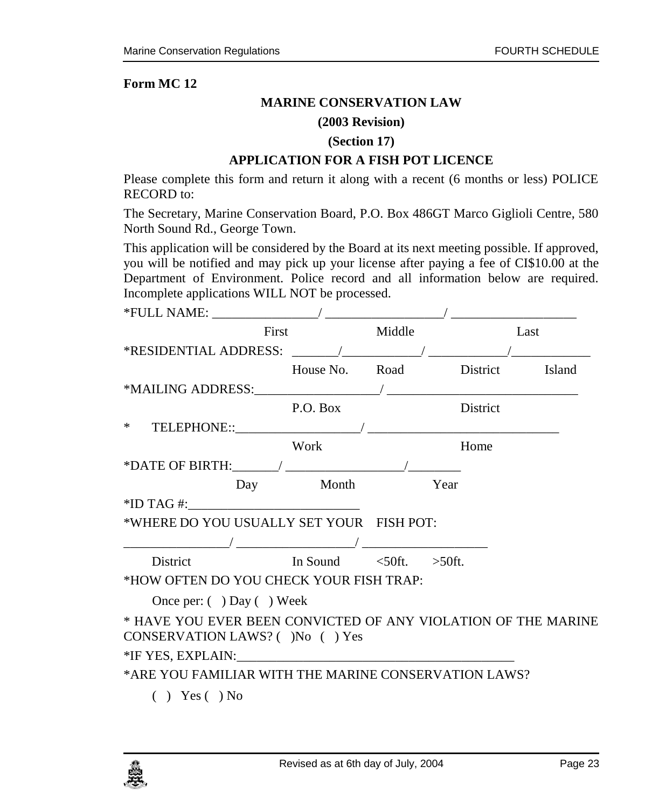#### **MARINE CONSERVATION LAW**

#### **(2003 Revision)**

#### **(Section 17)**

#### **APPLICATION FOR A FISH POT LICENCE**

Please complete this form and return it along with a recent (6 months or less) POLICE RECORD to:

The Secretary, Marine Conservation Board, P.O. Box 486GT Marco Giglioli Centre, 580 North Sound Rd., George Town.

This application will be considered by the Board at its next meeting possible. If approved, you will be notified and may pick up your license after paying a fee of CI\$10.00 at the Department of Environment. Police record and all information below are required. Incomplete applications WILL NOT be processed.

| First                                                         |                | Middle Last                    |
|---------------------------------------------------------------|----------------|--------------------------------|
| *RESIDENTIAL ADDRESS: ______/____________/ ______________/    |                |                                |
|                                                               |                | House No. Road District Island |
|                                                               |                |                                |
|                                                               | P.O. Box       | District                       |
|                                                               |                |                                |
|                                                               | Work           | Home                           |
|                                                               |                |                                |
|                                                               | Day Month Year |                                |
| $*ID TAG #:$                                                  |                |                                |
| *WHERE DO YOU USUALLY SET YOUR FISH POT:                      |                |                                |
|                                                               |                |                                |
| District In Sound <50ft. >50ft.                               |                |                                |
| *HOW OFTEN DO YOU CHECK YOUR FISH TRAP:                       |                |                                |
| Once per: $( )$ Day $( )$ Week                                |                |                                |
| * HAVE YOU EVER BEEN CONVICTED OF ANY VIOLATION OF THE MARINE |                |                                |
| CONSERVATION LAWS? ()No () Yes                                |                |                                |
|                                                               |                |                                |
| *ARE YOU FAMILIAR WITH THE MARINE CONSERVATION LAWS?          |                |                                |
| アンディアン ストライト アイディング きょうしょう しゅうしょう しゅうしょう しゅうしょう しゅうしょう しゅうしょう |                |                                |

 $( )$  Yes  $( )$  No

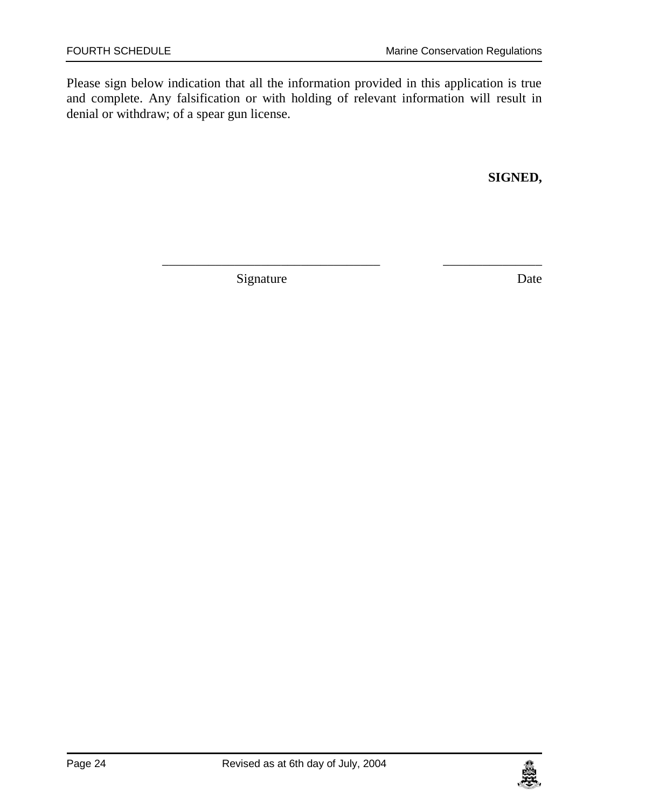Please sign below indication that all the information provided in this application is true and complete. Any falsification or with holding of relevant information will result in denial or withdraw; of a spear gun license.

\_\_\_\_\_\_\_\_\_\_\_\_\_\_\_\_\_\_\_\_\_\_\_\_\_\_\_\_\_\_\_\_\_ \_\_\_\_\_\_\_\_\_\_\_\_\_\_\_

**SIGNED,**

Signature Date

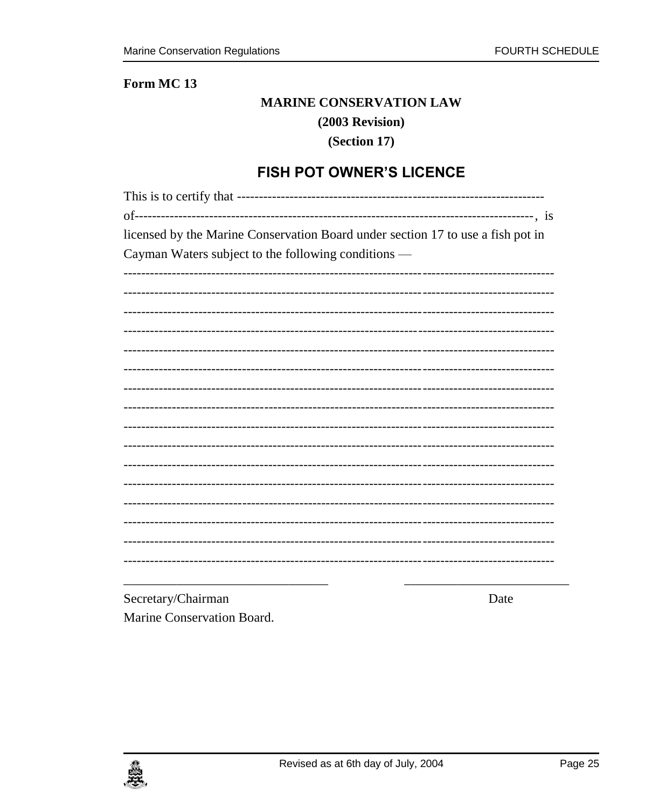#### Form MC<sub>13</sub>

#### **MARINE CONSERVATION LAW**

#### $(2003$  Revision)

#### (Section 17)

# **FISH POT OWNER'S LICENCE**

<span id="page-24-0"></span>

| licensed by the Marine Conservation Board under section 17 to use a fish pot in |
|---------------------------------------------------------------------------------|
| Cayman Waters subject to the following conditions —                             |
|                                                                                 |
|                                                                                 |
|                                                                                 |
|                                                                                 |
|                                                                                 |
|                                                                                 |
|                                                                                 |
|                                                                                 |
|                                                                                 |
|                                                                                 |
|                                                                                 |
|                                                                                 |
|                                                                                 |
|                                                                                 |
|                                                                                 |
|                                                                                 |
|                                                                                 |
|                                                                                 |
|                                                                                 |
|                                                                                 |
|                                                                                 |

Secretary/Chairman Marine Conservation Board. Date

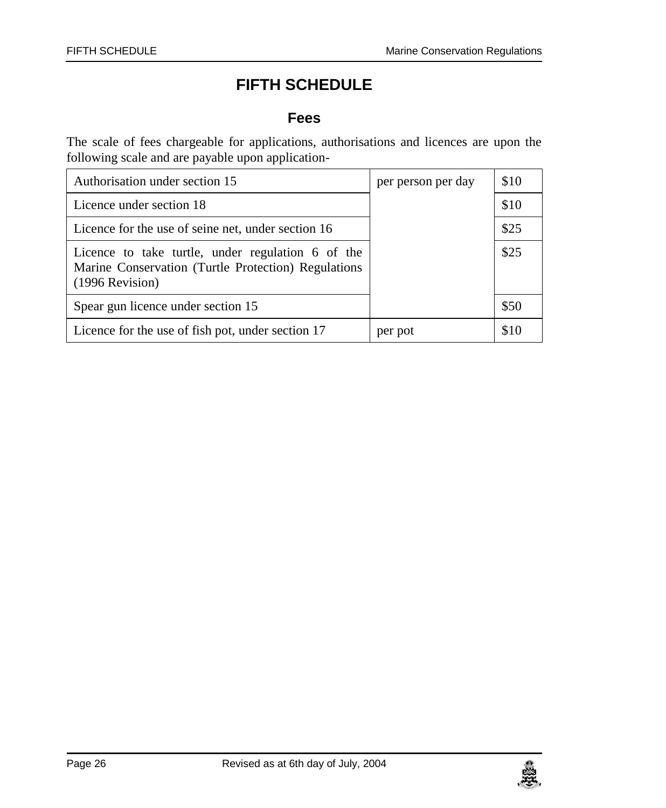# **FIFTH SCHEDULE**

#### **Fees**

<span id="page-25-1"></span><span id="page-25-0"></span>The scale of fees chargeable for applications, authorisations and licences are upon the following scale and are payable upon application-

| Authorisation under section 15                                                                                              | per person per day | \$10 |
|-----------------------------------------------------------------------------------------------------------------------------|--------------------|------|
| Licence under section 18                                                                                                    |                    | \$10 |
| Licence for the use of seine net, under section 16                                                                          |                    | \$25 |
| Licence to take turtle, under regulation 6 of the<br>Marine Conservation (Turtle Protection) Regulations<br>(1996 Revision) |                    | \$25 |
| Spear gun licence under section 15                                                                                          |                    | \$50 |
| Licence for the use of fish pot, under section 17                                                                           | per pot            | \$10 |